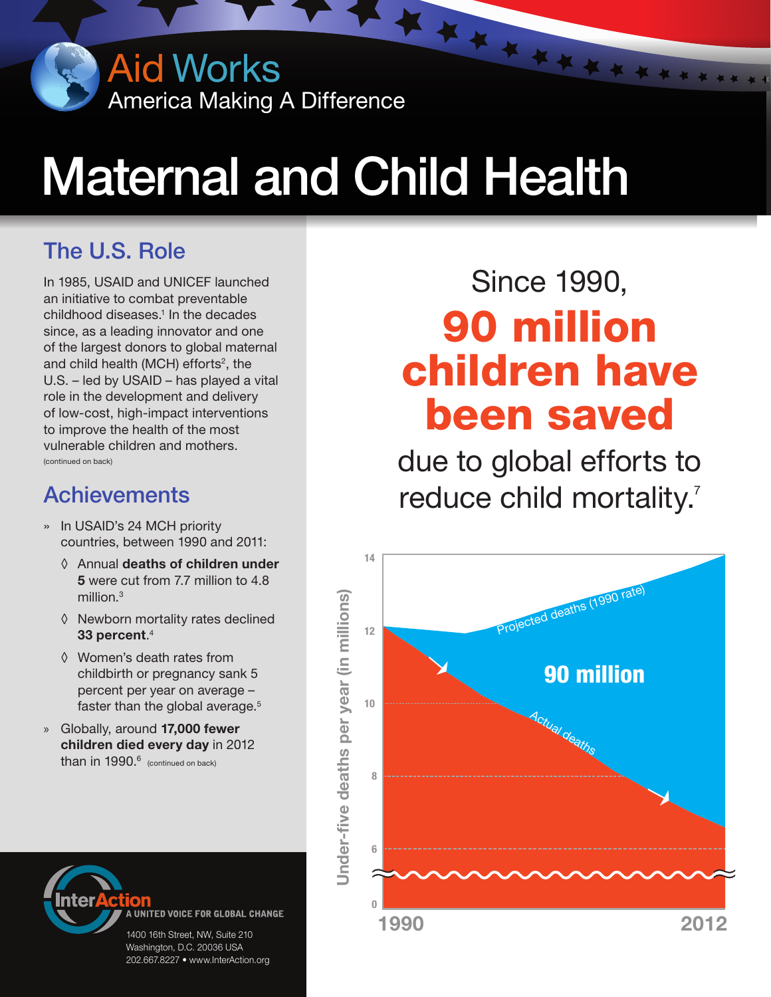Aid Works America Making A Difference

# Maternal and Child Health

## The U.S. Role

In 1985, USAID and UNICEF launched an initiative to combat preventable childhood diseases.<sup>1</sup> In the decades since, as a leading innovator and one of the largest donors to global maternal and child health (MCH) efforts<sup>2</sup>, the U.S. – led by USAID – has played a vital role in the development and delivery of low-cost, high-impact interventions to improve the health of the most vulnerable children and mothers. (continued on back)

### **Achievements**

- » In USAID's 24 MCH priority countries, between 1990 and 2011:
	- ◊ Annual deaths of children under 5 were cut from 7.7 million to 4.8 million.3
	- ◊ Newborn mortality rates declined 33 percent. $^4$
	- ◊ Women's death rates from childbirth or pregnancy sank 5 percent per year on average – faster than the global average.<sup>5</sup>
- » Globally, around 17,000 fewer children died every day in 2012 than in  $1990.<sup>6</sup>$  (continued on back)



UNITED VOICE FOR GLOBAL CHANGE

1400 16th Street, NW, Suite 210 Washington, D.C. 20036 USA 202.667.8227 • www.InterAction.org

## Since 1990, Since 1990, 90 million children have been saved 90 million children have **been saved**

\*\*\*\*\*\*\*\*\*

due to global efforts to reduce child mortality.<sup>7</sup> reduce child mortality<sup>7</sup>